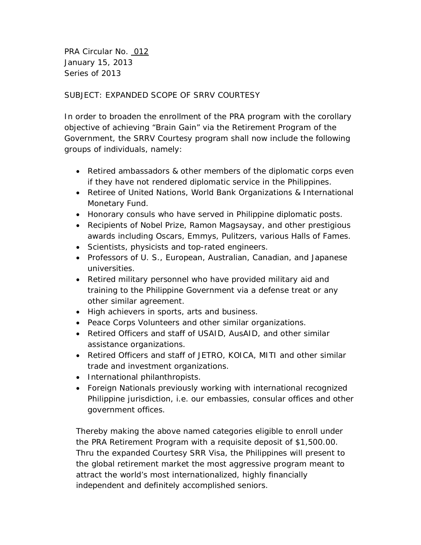PRA Circular No. 012 January 15, 2013 Series of 2013

## SUBJECT: EXPANDED SCOPE OF SRRV COURTESY

In order to broaden the enrollment of the PRA program with the corollary objective of achieving "Brain Gain" via the Retirement Program of the Government, the SRRV Courtesy program shall now include the following groups of individuals, namely:

- Retired ambassadors & other members of the diplomatic corps even if they have not rendered diplomatic service in the Philippines.
- Retiree of United Nations, World Bank Organizations & International Monetary Fund.
- Honorary consuls who have served in Philippine diplomatic posts.
- Recipients of Nobel Prize, Ramon Magsaysay, and other prestigious awards including Oscars, Emmys, Pulitzers, various Halls of Fames.
- Scientists, physicists and top-rated engineers.
- Professors of U. S., European, Australian, Canadian, and Japanese universities.
- Retired military personnel who have provided military aid and training to the Philippine Government via a defense treat or any other similar agreement.
- High achievers in sports, arts and business.
- Peace Corps Volunteers and other similar organizations.
- Retired Officers and staff of USAID, AusAID, and other similar assistance organizations.
- Retired Officers and staff of JETRO, KOICA, MITI and other similar trade and investment organizations.
- International philanthropists.
- Foreign Nationals previously working with international recognized Philippine jurisdiction, i.e. our embassies, consular offices and other government offices.

Thereby making the above named categories eligible to enroll under the PRA Retirement Program with a requisite deposit of \$1,500.00. Thru the expanded Courtesy SRR Visa, the Philippines will present to the global retirement market the most aggressive program meant to attract the world's most internationalized, highly financially independent and definitely accomplished seniors.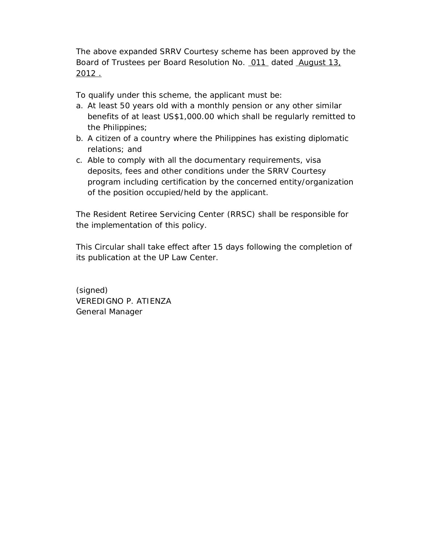The above expanded SRRV Courtesy scheme has been approved by the Board of Trustees per Board Resolution No. 011 dated August 13, 2012 .

To qualify under this scheme, the applicant must be:

- a. At least 50 years old with a monthly pension or any other similar benefits of at least US\$1,000.00 which shall be regularly remitted to the Philippines;
- b. A citizen of a country where the Philippines has existing diplomatic relations; and
- c. Able to comply with all the documentary requirements, visa deposits, fees and other conditions under the SRRV Courtesy program including certification by the concerned entity/organization of the position occupied/held by the applicant.

The Resident Retiree Servicing Center (RRSC) shall be responsible for the implementation of this policy.

This Circular shall take effect after 15 days following the completion of its publication at the UP Law Center.

(signed) VEREDIGNO P. ATIENZA General Manager